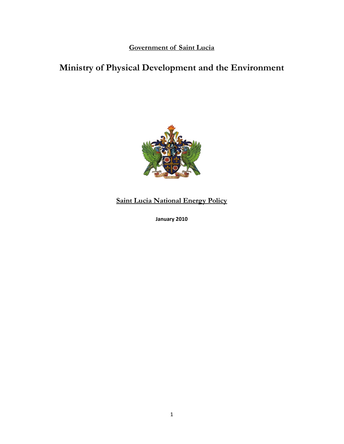**Government of Saint Lucia**

# **Ministry of Physical Development and the Environment**



**Saint Lucia National Energy Policy**

**January 2010**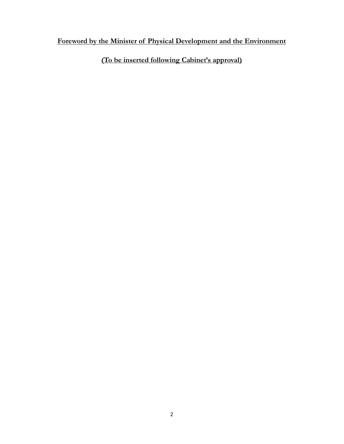# **Foreword by the Minister of Physical Development and the Environment**

**(To be inserted following Cabinet's approval)**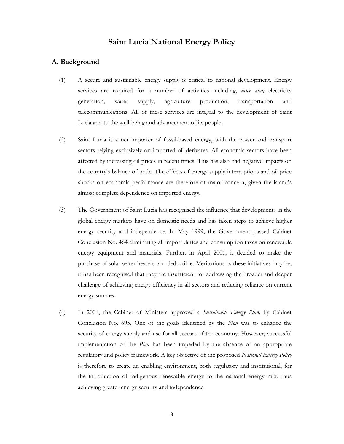# **Saint Lucia National Energy Policy**

#### **A. Background**

- (1) A secure and sustainable energy supply is critical to national development. Energy services are required for a number of activities including, *inter alia;* electricity generation, water supply, agriculture production, transportation and telecommunications. All of these services are integral to the development of Saint Lucia and to the well-being and advancement of its people.
- (2) Saint Lucia is a net importer of fossil-based energy, with the power and transport sectors relying exclusively on imported oil derivates. All economic sectors have been affected by increasing oil prices in recent times. This has also had negative impacts on the country's balance of trade. The effects of energy supply interruptions and oil price shocks on economic performance are therefore of major concern, given the island's almost complete dependence on imported energy.
- (3) The Government of Saint Lucia has recognised the influence that developments in the global energy markets have on domestic needs and has taken steps to achieve higher energy security and independence. In May 1999, the Government passed Cabinet Conclusion No. 464 eliminating all import duties and consumption taxes on renewable energy equipment and materials. Further, in April 2001, it decided to make the purchase of solar water heaters tax- deductible. Meritorious as these initiatives may be, it has been recognised that they are insufficient for addressing the broader and deeper challenge of achieving energy efficiency in all sectors and reducing reliance on current energy sources.
- (4) In 2001, the Cabinet of Ministers approved a *Sustainable Energy Plan,* by Cabinet Conclusion No. 695. One of the goals identified by the *Plan* was to enhance the security of energy supply and use for all sectors of the economy. However, successful implementation of the *Plan* has been impeded by the absence of an appropriate regulatory and policy framework. A key objective of the proposed *National Energy Policy* is therefore to create an enabling environment, both regulatory and institutional, for the introduction of indigenous renewable energy to the national energy mix, thus achieving greater energy security and independence.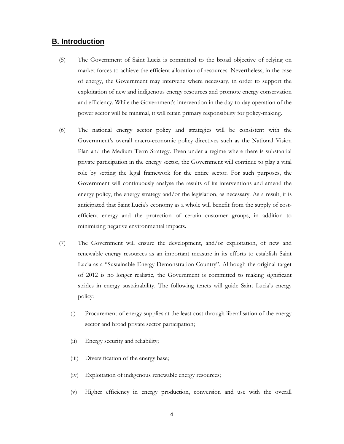## **B. Introduction**

- (5) The Government of Saint Lucia is committed to the broad objective of relying on market forces to achieve the efficient allocation of resources. Nevertheless, in the case of energy, the Government may intervene where necessary, in order to support the exploitation of new and indigenous energy resources and promote energy conservation and efficiency. While the Government's intervention in the day-to-day operation of the power sector will be minimal, it will retain primary responsibility for policy-making.
- (6) The national energy sector policy and strategies will be consistent with the Government's overall macro-economic policy directives such as the National Vision Plan and the Medium Term Strategy. Even under a regime where there is substantial private participation in the energy sector, the Government will continue to play a vital role by setting the legal framework for the entire sector. For such purposes, the Government will continuously analyse the results of its interventions and amend the energy policy, the energy strategy and/or the legislation, as necessary. As a result, it is anticipated that Saint Lucia's economy as a whole will benefit from the supply of costefficient energy and the protection of certain customer groups, in addition to minimizing negative environmental impacts.
- (7) The Government will ensure the development, and/or exploitation, of new and renewable energy resources as an important measure in its efforts to establish Saint Lucia as a "Sustainable Energy Demonstration Country". Although the original target of 2012 is no longer realistic, the Government is committed to making significant strides in energy sustainability. The following tenets will guide Saint Lucia's energy policy:
	- (i) Procurement of energy supplies at the least cost through liberalisation of the energy sector and broad private sector participation;
	- (ii) Energy security and reliability;
	- (iii) Diversification of the energy base;
	- (iv) Exploitation of indigenous renewable energy resources;
	- (v) Higher efficiency in energy production, conversion and use with the overall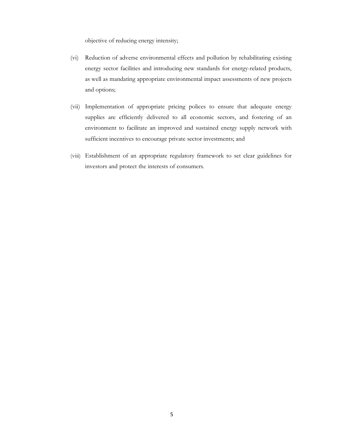objective of reducing energy intensity;

- (vi) Reduction of adverse environmental effects and pollution by rehabilitating existing energy sector facilities and introducing new standards for energy-related products, as well as mandating appropriate environmental impact assessments of new projects and options;
- (vii) Implementation of appropriate pricing polices to ensure that adequate energy supplies are efficiently delivered to all economic sectors, and fostering of an environment to facilitate an improved and sustained energy supply network with sufficient incentives to encourage private sector investments; and
- (viii) Establishment of an appropriate regulatory framework to set clear guidelines for investors and protect the interests of consumers.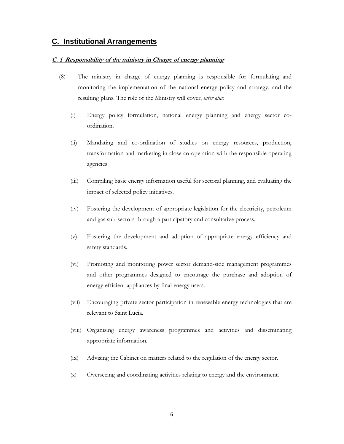# **C. Institutional Arrangements**

#### **C. 1 Responsibility of the ministry in Charge of energy planning**

- (8) The ministry in charge of energy planning is responsible for formulating and monitoring the implementation of the national energy policy and strategy, and the resulting plans. The role of the Ministry will cover, *inter alia*:
	- (i) Energy policy formulation, national energy planning and energy sector coordination.
	- (ii) Mandating and co-ordination of studies on energy resources, production, transformation and marketing in close co-operation with the responsible operating agencies.
	- (iii) Compiling basic energy information useful for sectoral planning, and evaluating the impact of selected policy initiatives.
	- (iv) Fostering the development of appropriate legislation for the electricity, petroleum and gas sub-sectors through a participatory and consultative process.
	- (v) Fostering the development and adoption of appropriate energy efficiency and safety standards.
	- (vi) Promoting and monitoring power sector demand-side management programmes and other programmes designed to encourage the purchase and adoption of energy-efficient appliances by final energy users.
	- (vii) Encouraging private sector participation in renewable energy technologies that are relevant to Saint Lucia.
	- (viii) Organising energy awareness programmes and activities and disseminating appropriate information.
	- (ix) Advising the Cabinet on matters related to the regulation of the energy sector.
	- (x) Overseeing and coordinating activities relating to energy and the environment.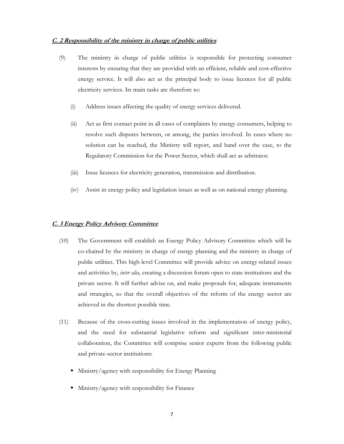#### **C. 2 Responsibility of the ministry in charge of public utilities**

- (9) The ministry in charge of public utilities is responsible for protecting consumer interests by ensuring that they are provided with an efficient, reliable and cost-effective energy service. It will also act as the principal body to issue licences for all public electricity services. Its main tasks are therefore to:
	- (i) Address issues affecting the quality of energy services delivered.
	- (ii) Act as first contact point in all cases of complaints by energy consumers, helping to resolve such disputes between, or among, the parties involved. In cases where no solution can be reached, the Ministry will report, and hand over the case, to the Regulatory Commission for the Power Sector, which shall act as arbitrator.
	- (iii) Issue licences for electricity generation, transmission and distribution.
	- (iv) Assist in energy policy and legislation issues as well as on national energy planning.

#### **C. 3 Energy Policy Advisory Committee**

- (10) The Government will establish an Energy Policy Advisory Committee which will be co-chaired by the ministry in charge of energy planning and the ministry in charge of public utilities. This high-level Committee will provide advice on energy-related issues and activities by, *inter alia*, creating a discussion forum open to state institutions and the private sector. It will further advise on, and make proposals for, adequate instruments and strategies, so that the overall objectives of the reform of the energy sector are achieved in the shortest possible time.
- (11) Because of the cross-cutting issues involved in the implementation of energy policy, and the need for substantial legislative reform and significant inter-ministerial collaboration, the Committee will comprise senior experts from the following public and private-sector institutions:
	- Ministry/agency with responsibility for Energy Planning
	- Ministry/agency with responsibility for Finance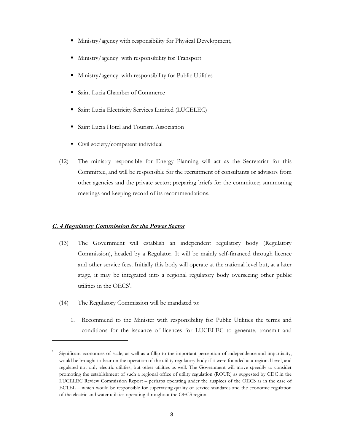- Ministry/agency with responsibility for Physical Development,
- Ministry/agency with responsibility for Transport
- Ministry/agency with responsibility for Public Utilities
- Saint Lucia Chamber of Commerce
- **Saint Lucia Electricity Services Limited (LUCELEC)**
- Saint Lucia Hotel and Tourism Association
- Civil society/competent individual
- (12) The ministry responsible for Energy Planning will act as the Secretariat for this Committee, and will be responsible for the recruitment of consultants or advisors from other agencies and the private sector; preparing briefs for the committee; summoning meetings and keeping record of its recommendations.

#### **C. 4 Regulatory Commission for the Power Sector**

- (13) The Government will establish an independent regulatory body (Regulatory Commission), headed by a Regulator. It will be mainly self-financed through licence and other service fees. Initially this body will operate at the national level but, at a later stage, it may be integrated into a regional regulatory body overseeing other public utilities in the OECS**<sup>1</sup>** .
- (14) The Regulatory Commission will be mandated to:

 $\overline{a}$ 

1. Recommend to the Minister with responsibility for Public Utilities the terms and conditions for the issuance of licences for LUCELEC to generate, transmit and

<sup>1</sup> Significant economies of scale, as well as a fillip to the important perception of independence and impartiality, would be brought to bear on the operation of the utility regulatory body if it were founded at a regional level, and regulated not only electric utilities, but other utilities as well. The Government will move speedily to consider promoting the establishment of such a regional office of utility regulation (ROUR) as suggested by CDC in the LUCELEC Review Commission Report – perhaps operating under the auspices of the OECS as in the case of ECTEL – which would be responsible for supervising quality of service standards and the economic regulation of the electric and water utilities operating throughout the OECS region.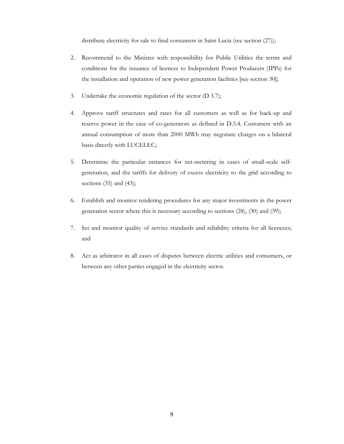distribute electricity for sale to final consumers in Saint Lucia (see section  $(27)$ );

- 2. Recommend to the Minister with responsibility for Public Utilities the terms and conditions for the issuance of licences to Independent Power Producers (IPPs) for the installation and operation of new power generation facilities [see section 30];
- 3. Undertake the economic regulation of the sector (D 3.7);
- 4. Approve tariff structures and rates for all customers as well as for back-up and reserve power in the case of co-generators as defined in D.3.4. Customers with an annual consumption of more than 2000 MWh may negotiate charges on a bilateral basis directly with LUCELEC;
- 5. Determine the particular instances for net-metering in cases of small-scale selfgeneration, and the tariffs for delivery of excess electricity to the grid according to sections (35) and (43);
- 6. Establish and monitor tendering procedures for any major investments in the power generation sector where this is necessary according to sections (28), (30) and (39);
- 7. Set and monitor quality of service standards and reliability criteria for all licencees; and
- 8. Act as arbitrator in all cases of disputes between electric utilities and consumers, or between any other parties engaged in the electricity sector.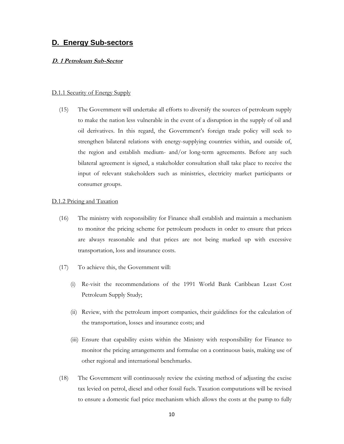### **D. Energy Sub-sectors**

#### **D. 1 Petroleum Sub-Sector**

#### D.1.1 Security of Energy Supply

(15) The Government will undertake all efforts to diversify the sources of petroleum supply to make the nation less vulnerable in the event of a disruption in the supply of oil and oil derivatives. In this regard, the Government's foreign trade policy will seek to strengthen bilateral relations with energy-supplying countries within, and outside of, the region and establish medium- and/or long-term agreements. Before any such bilateral agreement is signed, a stakeholder consultation shall take place to receive the input of relevant stakeholders such as ministries, electricity market participants or consumer groups.

#### D.1.2 Pricing and Taxation

- (16) The ministry with responsibility for Finance shall establish and maintain a mechanism to monitor the pricing scheme for petroleum products in order to ensure that prices are always reasonable and that prices are not being marked up with excessive transportation, loss and insurance costs.
- (17) To achieve this, the Government will:
	- (i) Re-visit the recommendations of the 1991 World Bank Caribbean Least Cost Petroleum Supply Study;
	- (ii) Review, with the petroleum import companies, their guidelines for the calculation of the transportation, losses and insurance costs; and
	- (iii) Ensure that capability exists within the Ministry with responsibility for Finance to monitor the pricing arrangements and formulae on a continuous basis, making use of other regional and international benchmarks.
- (18) The Government will continuously review the existing method of adjusting the excise tax levied on petrol, diesel and other fossil fuels. Taxation computations will be revised to ensure a domestic fuel price mechanism which allows the costs at the pump to fully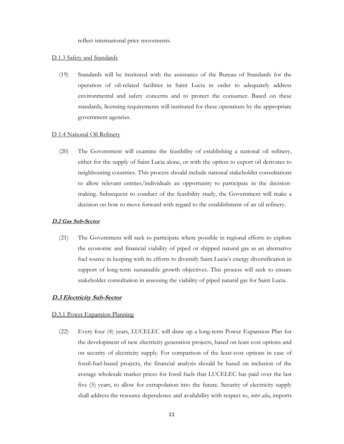reflect international price movements.

#### D.1.3 Safety and Standards

(19) Standards will be instituted with the assistance of the Bureau of Standards for the operation of oil-related facilities in Saint Lucia in order to adequately address environmental and safety concerns and to protect the consumer. Based on these standards, licensing requirements will instituted for these operations by the appropriate government agencies.

#### D 1.4 National Oil Refinery

(20) The Government will examine the feasibility of establishing a national oil refinery, either for the supply of Saint Lucia alone, or with the option to export oil derivates to neighbouring countries. This process should include national stakeholder consultations to allow relevant entities/individuals an opportunity to participate in the decisionmaking. Subsequent to conduct of the feasibility study, the Government will make a decision on how to move forward with regard to the establishment of an oil refinery.

#### **D.2 Gas Sub-Sector**

(21) The Government will seek to participate where possible in regional efforts to explore the economic and financial viability of piped or shipped natural gas as an alternative fuel source in keeping with its efforts to diversify Saint Lucia's energy diversification in support of long-term sustainable growth objectives. This process will seek to ensure stakeholder consultation in assessing the viability of piped natural gas for Saint Lucia.

#### **D.3 Electricity Sub-Sector**

#### D.3.1 Power Expansion Planning

(22) Every four (4) years, LUCELEC will draw up a long-term Power Expansion Plan for the development of new electricity generation projects, based on least cost options and on security of electricity supply. For comparison of the least-cost options in case of fossil-fuel-based projects, the financial analysis should be based on inclusion of the average wholesale market prices for fossil fuels that LUCELEC has paid over the last five (5) years, to allow for extrapolation into the future. Security of electricity supply shall address the resource dependence and availability with respect to, *inter alia*, imports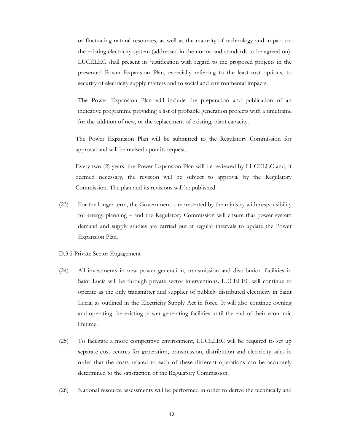or fluctuating natural resources, as well as the maturity of technology and impact on the existing electricity system (addressed in the norms and standards to be agreed on). LUCELEC shall present its justification with regard to the proposed projects in the presented Power Expansion Plan, especially referring to the least-cost options, to security of electricity supply matters and to social and environmental impacts.

The Power Expansion Plan will include the preparation and publication of an indicative programme providing a list of probable generation projects with a timeframe for the addition of new, or the replacement of existing, plant capacity.

The Power Expansion Plan will be submitted to the Regulatory Commission for approval and will be revised upon its request.

Every two (2) years, the Power Expansion Plan will be reviewed by LUCELEC and, if deemed necessary, the revision will be subject to approval by the Regulatory Commission. The plan and its revisions will be published.

- (23) For the longer term, the Government represented by the ministry with responsibility for energy planning – and the Regulatory Commission will ensure that power system demand and supply studies are carried out at regular intervals to update the Power Expansion Plan.
- D.3.2 Private Sector Engagement
- (24) All investments in new power generation, transmission and distribution facilities in Saint Lucia will be through private sector interventions. LUCELEC will continue to operate as the only transmitter and supplier of publicly distributed electricity in Saint Lucia, as outlined in the Electricity Supply Act in force. It will also continue owning and operating the existing power generating facilities until the end of their economic lifetime.
- (25) To facilitate a more competitive environment, LUCELEC will be required to set up separate cost centres for generation, transmission, distribution and electricity sales in order that the costs related to each of these different operations can be accurately determined to the satisfaction of the Regulatory Commission.
- (26) National resource assessments will be performed in order to derive the technically and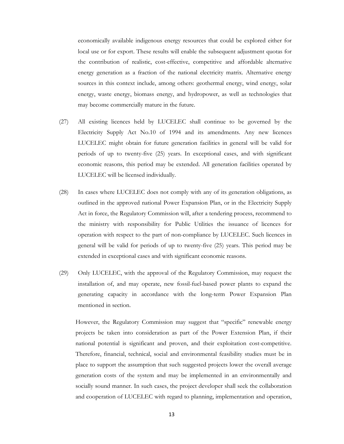economically available indigenous energy resources that could be explored either for local use or for export. These results will enable the subsequent adjustment quotas for the contribution of realistic, cost-effective, competitive and affordable alternative energy generation as a fraction of the national electricity matrix. Alternative energy sources in this context include, among others: geothermal energy, wind energy, solar energy, waste energy, biomass energy, and hydropower, as well as technologies that may become commercially mature in the future.

- (27) All existing licences held by LUCELEC shall continue to be governed by the Electricity Supply Act No.10 of 1994 and its amendments. Any new licences LUCELEC might obtain for future generation facilities in general will be valid for periods of up to twenty-five (25) years. In exceptional cases, and with significant economic reasons, this period may be extended. All generation facilities operated by LUCELEC will be licensed individually.
- (28) In cases where LUCELEC does not comply with any of its generation obligations, as outlined in the approved national Power Expansion Plan, or in the Electricity Supply Act in force, the Regulatory Commission will, after a tendering process, recommend to the ministry with responsibility for Public Utilities the issuance of licences for operation with respect to the part of non-compliance by LUCELEC. Such licences in general will be valid for periods of up to twenty-five (25) years. This period may be extended in exceptional cases and with significant economic reasons.
- (29) Only LUCELEC, with the approval of the Regulatory Commission, may request the installation of, and may operate, new fossil-fuel-based power plants to expand the generating capacity in accordance with the long-term Power Expansion Plan mentioned in section.

However, the Regulatory Commission may suggest that "specific" renewable energy projects be taken into consideration as part of the Power Extension Plan, if their national potential is significant and proven, and their exploitation cost-competitive. Therefore, financial, technical, social and environmental feasibility studies must be in place to support the assumption that such suggested projects lower the overall average generation costs of the system and may be implemented in an environmentally and socially sound manner. In such cases, the project developer shall seek the collaboration and cooperation of LUCELEC with regard to planning, implementation and operation,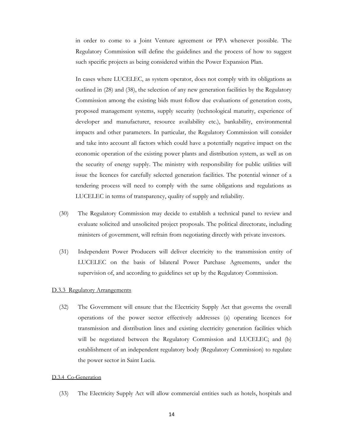in order to come to a Joint Venture agreement or PPA whenever possible. The Regulatory Commission will define the guidelines and the process of how to suggest such specific projects as being considered within the Power Expansion Plan.

In cases where LUCELEC, as system operator, does not comply with its obligations as outlined in (28) and (38), the selection of any new generation facilities by the Regulatory Commission among the existing bids must follow due evaluations of generation costs, proposed management systems, supply security (technological maturity, experience of developer and manufacturer, resource availability etc.), bankability, environmental impacts and other parameters. In particular, the Regulatory Commission will consider and take into account all factors which could have a potentially negative impact on the economic operation of the existing power plants and distribution system, as well as on the security of energy supply. The ministry with responsibility for public utilities will issue the licences for carefully selected generation facilities. The potential winner of a tendering process will need to comply with the same obligations and regulations as LUCELEC in terms of transparency, quality of supply and reliability.

- (30) The Regulatory Commission may decide to establish a technical panel to review and evaluate solicited and unsolicited project proposals. The political directorate, including ministers of government, will refrain from negotiating directly with private investors.
- (31) Independent Power Producers will deliver electricity to the transmission entity of LUCELEC on the basis of bilateral Power Purchase Agreements, under the supervision of, and according to guidelines set up by the Regulatory Commission.

#### D.3.3 Regulatory Arrangements

(32) The Government will ensure that the Electricity Supply Act that governs the overall operations of the power sector effectively addresses (a) operating licences for transmission and distribution lines and existing electricity generation facilities which will be negotiated between the Regulatory Commission and LUCELEC; and (b) establishment of an independent regulatory body (Regulatory Commission) to regulate the power sector in Saint Lucia.

#### D.3.4 Co-Generation

(33) The Electricity Supply Act will allow commercial entities such as hotels, hospitals and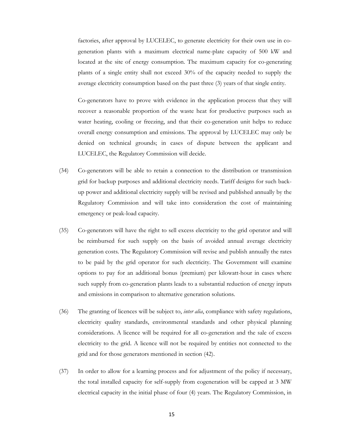factories, after approval by LUCELEC, to generate electricity for their own use in cogeneration plants with a maximum electrical name-plate capacity of 500 kW and located at the site of energy consumption. The maximum capacity for co-generating plants of a single entity shall not exceed 30% of the capacity needed to supply the average electricity consumption based on the past three (3) years of that single entity.

Co-generators have to prove with evidence in the application process that they will recover a reasonable proportion of the waste heat for productive purposes such as water heating, cooling or freezing, and that their co-generation unit helps to reduce overall energy consumption and emissions. The approval by LUCELEC may only be denied on technical grounds; in cases of dispute between the applicant and LUCELEC, the Regulatory Commission will decide.

- (34) Co-generators will be able to retain a connection to the distribution or transmission grid for backup purposes and additional electricity needs. Tariff designs for such backup power and additional electricity supply will be revised and published annually by the Regulatory Commission and will take into consideration the cost of maintaining emergency or peak-load capacity.
- (35) Co-generators will have the right to sell excess electricity to the grid operator and will be reimbursed for such supply on the basis of avoided annual average electricity generation costs. The Regulatory Commission will revise and publish annually the rates to be paid by the grid operator for such electricity. The Government will examine options to pay for an additional bonus (premium) per kilowatt-hour in cases where such supply from co-generation plants leads to a substantial reduction of energy inputs and emissions in comparison to alternative generation solutions.
- (36) The granting of licences will be subject to, *inter alia*, compliance with safety regulations, electricity quality standards, environmental standards and other physical planning considerations. A licence will be required for all co-generation and the sale of excess electricity to the grid. A licence will not be required by entities not connected to the grid and for those generators mentioned in section (42).
- (37) In order to allow for a learning process and for adjustment of the policy if necessary, the total installed capacity for self-supply from cogeneration will be capped at 3 MW electrical capacity in the initial phase of four (4) years. The Regulatory Commission, in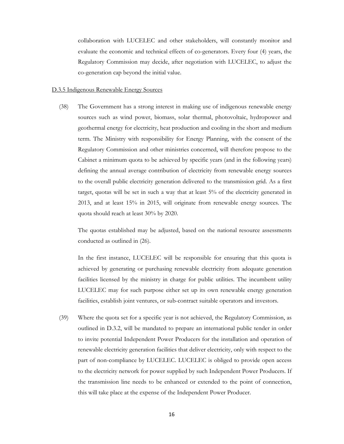collaboration with LUCELEC and other stakeholders, will constantly monitor and evaluate the economic and technical effects of co-generators. Every four (4) years, the Regulatory Commission may decide, after negotiation with LUCELEC, to adjust the co-generation cap beyond the initial value.

#### D.3.5 Indigenous Renewable Energy Sources

(38) The Government has a strong interest in making use of indigenous renewable energy sources such as wind power, biomass, solar thermal, photovoltaic, hydropower and geothermal energy for electricity, heat production and cooling in the short and medium term. The Ministry with responsibility for Energy Planning, with the consent of the Regulatory Commission and other ministries concerned, will therefore propose to the Cabinet a minimum quota to be achieved by specific years (and in the following years) defining the annual average contribution of electricity from renewable energy sources to the overall public electricity generation delivered to the transmission grid. As a first target, quotas will be set in such a way that at least 5% of the electricity generated in 2013, and at least 15% in 2015, will originate from renewable energy sources. The quota should reach at least 30% by 2020.

The quotas established may be adjusted, based on the national resource assessments conducted as outlined in (26).

In the first instance, LUCELEC will be responsible for ensuring that this quota is achieved by generating or purchasing renewable electricity from adequate generation facilities licensed by the ministry in charge for public utilities. The incumbent utility LUCELEC may for such purpose either set up its own renewable energy generation facilities, establish joint ventures, or sub-contract suitable operators and investors.

(39) Where the quota set for a specific year is not achieved, the Regulatory Commission, as outlined in D.3.2, will be mandated to prepare an international public tender in order to invite potential Independent Power Producers for the installation and operation of renewable electricity generation facilities that deliver electricity, only with respect to the part of non-compliance by LUCELEC. LUCELEC is obliged to provide open access to the electricity network for power supplied by such Independent Power Producers. If the transmission line needs to be enhanced or extended to the point of connection, this will take place at the expense of the Independent Power Producer.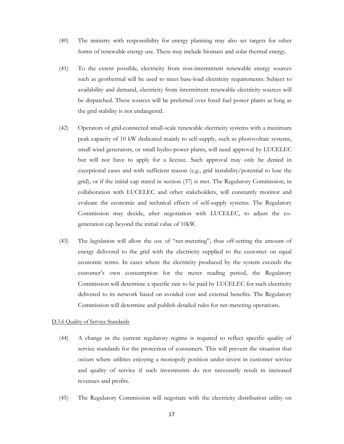- (40) The ministry with responsibility for energy planning may also set targets for other forms of renewable energy use. These may include biomass and solar thermal energy.
- (41) To the extent possible, electricity from non-intermittent renewable energy sources such as geothermal will be used to meet base-load electricity requirements. Subject to availability and demand, electricity from intermittent renewable electricity sources will be dispatched. These sources will be preferred over fossil fuel power plants as long as the grid stability is not endangered.
- (42) Operators of grid-connected small-scale renewable electricity systems with a maximum peak capacity of 10 kW dedicated mainly to self-supply, such as photovoltaic systems, small wind generators, or small hydro-power plants, will need approval by LUCELEC but will not have to apply for a licence. Such approval may only be denied in exceptional cases and with sufficient reason (e.g., grid instability/potential to lose the grid), or if the initial cap stated in section (37) is met. The Regulatory Commission, in collaboration with LUCELEC and other stakeholders, will constantly monitor and evaluate the economic and technical effects of self-supply systems. The Regulatory Commission may decide, after negotiation with LUCELEC, to adjust the cogeneration cap beyond the initial value of 10kW.
- (43) The legislation will allow the use of "net-metering", thus off-setting the amount of energy delivered to the grid with the electricity supplied to the customer on equal economic terms. In cases where the electricity produced by the system exceeds the customer's own consumption for the meter reading period, the Regulatory Commission will determine a specific rate to be paid by LUCELEC for such electricity delivered to its network based on avoided cost and external benefits. The Regulatory Commission will determine and publish detailed rules for net-metering operations.

#### D.3.6 Quality of Service Standards

- (44) A change in the current regulatory regime is required to reflect specific quality of service standards for the protection of consumers. This will prevent the situation that occurs where utilities enjoying a monopoly position under-invest in customer service and quality of service if such investments do not necessarily result in increased revenues and profits.
- (45) The Regulatory Commission will negotiate with the electricity distribution utility on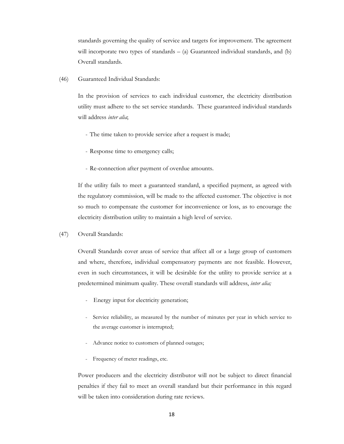standards governing the quality of service and targets for improvement. The agreement will incorporate two types of standards – (a) Guaranteed individual standards, and (b) Overall standards.

(46) Guaranteed Individual Standards:

In the provision of services to each individual customer, the electricity distribution utility must adhere to the set service standards. These guaranteed individual standards will address *inter alia*;

- The time taken to provide service after a request is made;
- Response time to emergency calls;
- Re-connection after payment of overdue amounts.

If the utility fails to meet a guaranteed standard, a specified payment, as agreed with the regulatory commission, will be made to the affected customer. The objective is not so much to compensate the customer for inconvenience or loss, as to encourage the electricity distribution utility to maintain a high level of service.

(47) Overall Standards:

Overall Standards cover areas of service that affect all or a large group of customers and where, therefore, individual compensatory payments are not feasible. However, even in such circumstances, it will be desirable for the utility to provide service at a predetermined minimum quality. These overall standards will address, *inter alia;* 

- *-* Energy input for electricity generation;
- Service reliability, as measured by the number of minutes per year in which service to the average customer is interrupted;
- Advance notice to customers of planned outages;
- Frequency of meter readings, etc.

Power producers and the electricity distributor will not be subject to direct financial penalties if they fail to meet an overall standard but their performance in this regard will be taken into consideration during rate reviews.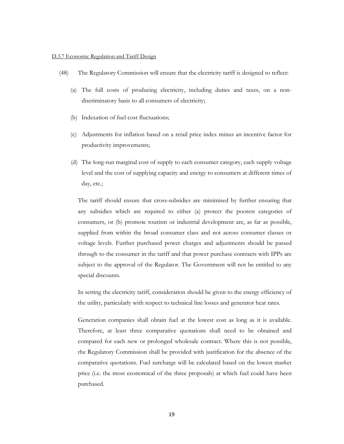#### D.3.7 Economic Regulation and Tariff Design

- (48) The Regulatory Commission will ensure that the electricity tariff is designed to reflect:
	- (a) The full costs of producing electricity, including duties and taxes, on a nondiscriminatory basis to all consumers of electricity;
	- (b) Indexation of fuel cost fluctuations;
	- (c) Adjustments for inflation based on a retail price index minus an incentive factor for productivity improvements;
	- (d) The long-run marginal cost of supply to each consumer category, each supply voltage level and the cost of supplying capacity and energy to consumers at different times of day, etc.;

The tariff should ensure that cross-subsidies are minimised by further ensuring that any subsidies which are required to either (a) protect the poorest categories of consumers, or (b) promote tourism or industrial development are, as far as possible, supplied from within the broad consumer class and not across consumer classes or voltage levels. Further purchased power charges and adjustments should be passed through to the consumer in the tariff and that power purchase contracts with IPPs are subject to the approval of the Regulator. The Government will not be entitled to any special discounts.

In setting the electricity tariff, consideration should be given to the energy efficiency of the utility, particularly with respect to technical line losses and generator heat rates.

Generation companies shall obtain fuel at the lowest cost as long as it is available. Therefore, at least three comparative quotations shall need to be obtained and compared for each new or prolonged wholesale contract. Where this is not possible, the Regulatory Commission shall be provided with justification for the absence of the comparative quotations. Fuel surcharge will be calculated based on the lowest market price (i.e. the most economical of the three proposals) at which fuel could have been purchased.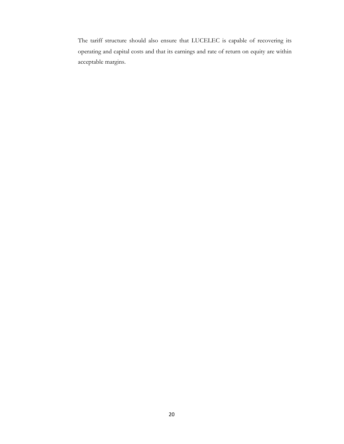The tariff structure should also ensure that LUCELEC is capable of recovering its operating and capital costs and that its earnings and rate of return on equity are within acceptable margins.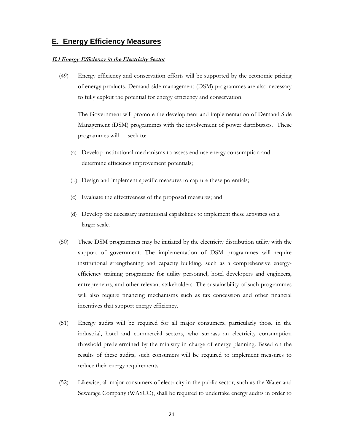# **E. Energy Efficiency Measures**

#### **E.1 Energy Efficiency in the Electricity Sector**

(49) Energy efficiency and conservation efforts will be supported by the economic pricing of energy products. Demand side management (DSM) programmes are also necessary to fully exploit the potential for energy efficiency and conservation.

The Government will promote the development and implementation of Demand Side Management (DSM) programmes with the involvement of power distributors. These programmes will seek to:

- (a) Develop institutional mechanisms to assess end use energy consumption and determine efficiency improvement potentials;
- (b) Design and implement specific measures to capture these potentials;
- (c) Evaluate the effectiveness of the proposed measures; and
- (d) Develop the necessary institutional capabilities to implement these activities on a larger scale.
- (50) These DSM programmes may be initiated by the electricity distribution utility with the support of government. The implementation of DSM programmes will require institutional strengthening and capacity building, such as a comprehensive energyefficiency training programme for utility personnel, hotel developers and engineers, entrepreneurs, and other relevant stakeholders. The sustainability of such programmes will also require financing mechanisms such as tax concession and other financial incentives that support energy efficiency.
- (51) Energy audits will be required for all major consumers, particularly those in the industrial, hotel and commercial sectors, who surpass an electricity consumption threshold predetermined by the ministry in charge of energy planning. Based on the results of these audits, such consumers will be required to implement measures to reduce their energy requirements.
- (52) Likewise, all major consumers of electricity in the public sector, such as the Water and Sewerage Company (WASCO), shall be required to undertake energy audits in order to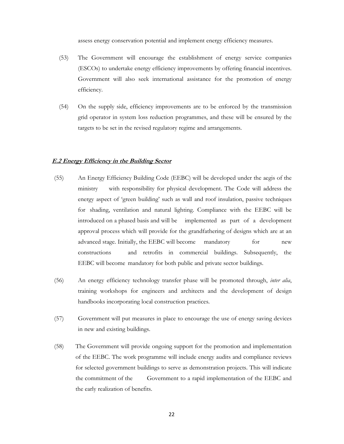assess energy conservation potential and implement energy efficiency measures.

- (53) The Government will encourage the establishment of energy service companies (ESCOs) to undertake energy efficiency improvements by offering financial incentives. Government will also seek international assistance for the promotion of energy efficiency.
- (54) On the supply side, efficiency improvements are to be enforced by the transmission grid operator in system loss reduction programmes, and these will be ensured by the targets to be set in the revised regulatory regime and arrangements.

#### **E.2 Energy Efficiency in the Building Sector**

- (55) An Energy Efficiency Building Code (EEBC) will be developed under the aegis of the ministry with responsibility for physical development. The Code will address the energy aspect of 'green building' such as wall and roof insulation, passive techniques for shading, ventilation and natural lighting. Compliance with the EEBC will be introduced on a phased basis and will be implemented as part of a development approval process which will provide for the grandfathering of designs which are at an advanced stage. Initially, the EEBC will become mandatory for new constructions and retrofits in commercial buildings. Subsequently, the EEBC will become mandatory for both public and private sector buildings.
- (56) An energy efficiency technology transfer phase will be promoted through, *inter alia*, training workshops for engineers and architects and the development of design handbooks incorporating local construction practices.
- (57) Government will put measures in place to encourage the use of energy saving devices in new and existing buildings.
- (58) The Government will provide ongoing support for the promotion and implementation of the EEBC. The work programme will include energy audits and compliance reviews for selected government buildings to serve as demonstration projects. This will indicate the commitment of the Government to a rapid implementation of the EEBC and the early realization of benefits.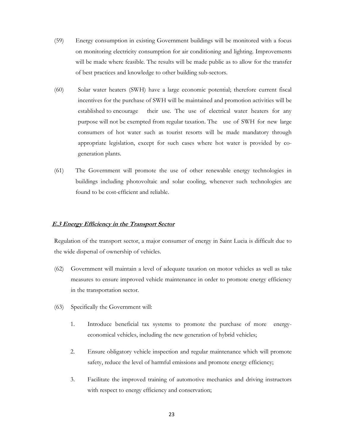- (59) Energy consumption in existing Government buildings will be monitored with a focus on monitoring electricity consumption for air conditioning and lighting. Improvements will be made where feasible. The results will be made public as to allow for the transfer of best practices and knowledge to other building sub-sectors.
- (60) Solar water heaters (SWH) have a large economic potential; therefore current fiscal incentives for the purchase of SWH will be maintained and promotion activities will be established to encourage their use. The use of electrical water heaters for any purpose will not be exempted from regular taxation. The use of SWH for new large consumers of hot water such as tourist resorts will be made mandatory through appropriate legislation, except for such cases where hot water is provided by cogeneration plants.
- (61) The Government will promote the use of other renewable energy technologies in buildings including photovoltaic and solar cooling, whenever such technologies are found to be cost-efficient and reliable.

#### **E.3 Energy Efficiency in the Transport Sector**

Regulation of the transport sector, a major consumer of energy in Saint Lucia is difficult due to the wide dispersal of ownership of vehicles.

- (62) Government will maintain a level of adequate taxation on motor vehicles as well as take measures to ensure improved vehicle maintenance in order to promote energy efficiency in the transportation sector.
- (63) Specifically the Government will:
	- 1. Introduce beneficial tax systems to promote the purchase of more energy economical vehicles, including the new generation of hybrid vehicles;
	- 2. Ensure obligatory vehicle inspection and regular maintenance which will promote safety, reduce the level of harmful emissions and promote energy efficiency;
	- 3. Facilitate the improved training of automotive mechanics and driving instructors with respect to energy efficiency and conservation;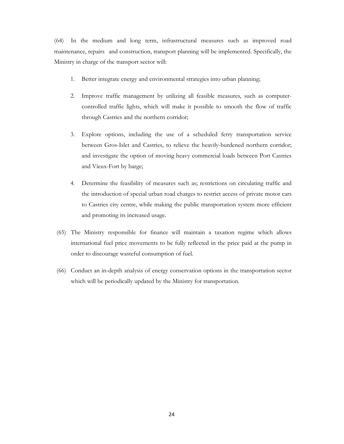(64) In the medium and long term, infrastructural measures such as improved road maintenance, repairs and construction, transport planning will be implemented. Specifically, the Ministry in charge of the transport sector will:

- 1. Better integrate energy and environmental strategies into urban planning;
- 2. Improve traffic management by utilizing all feasible measures, such as computercontrolled traffic lights, which will make it possible to smooth the flow of traffic through Castries and the northern corridor;
- 3. Explore options, including the use of a scheduled ferry transportation service between Gros-Islet and Castries, to relieve the heavily-burdened northern corridor; and investigate the option of moving heavy commercial loads between Port Castries and Vieux-Fort by barge;
- 4. Determine the feasibility of measures such as; restrictions on circulating traffic and the introduction of special urban road charges to restrict access of private motor cars to Castries city centre, while making the public transportation system more efficient and promoting its increased usage.
- (65) The Ministry responsible for finance will maintain a taxation regime which allows international fuel price movements to be fully reflected in the price paid at the pump in order to discourage wasteful consumption of fuel.
- (66) Conduct an in-depth analysis of energy conservation options in the transportation sector which will be periodically updated by the Ministry for transportation.